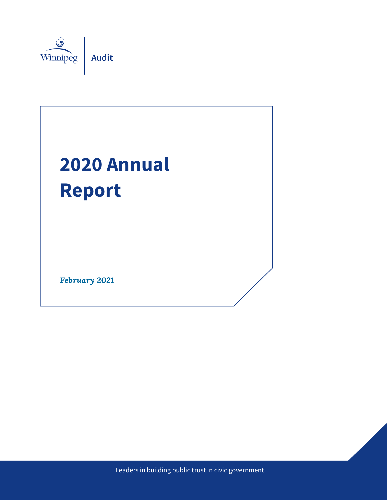

# **2020 Annual Report**

February 2021

City of Winnipeg – Audit Department Winnipeg.ca/audit Leaders in building public trust in civic government.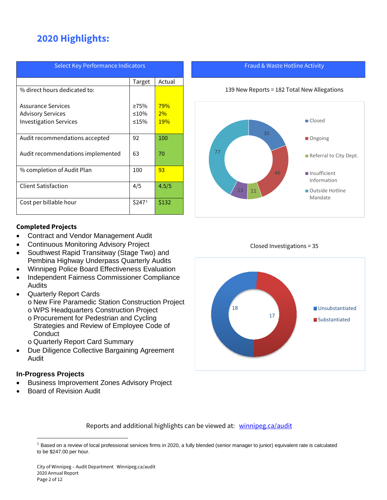# **2020 Highlights:**

| <b>Select Key Performance Indicators</b> |                    |            |  |  |  |
|------------------------------------------|--------------------|------------|--|--|--|
|                                          | Target             | Actual     |  |  |  |
| % direct hours dedicated to:             |                    |            |  |  |  |
| <b>Assurance Services</b>                | $\geq 75\%$        | 79%        |  |  |  |
| <b>Advisory Services</b>                 | ≤10%               | 2%         |  |  |  |
| <b>Investigation Services</b>            | ≤15%               | <b>19%</b> |  |  |  |
| Audit recommendations accepted           | 92                 | 100        |  |  |  |
| Audit recommendations implemented        | 63                 | 70         |  |  |  |
| % completion of Audit Plan               | 100                | 93         |  |  |  |
| <b>Client Satisfaction</b>               | 4/5                | 4.5/5      |  |  |  |
| Cost per billable hour                   | \$247 <sup>1</sup> | \$132      |  |  |  |

#### **Completed Projects**

- Contract and Vendor Management Audit
- Continuous Monitoring Advisory Project
- Southwest Rapid Transitway (Stage Two) and Pembina Highway Underpass Quarterly Audits
- Winnipeg Police Board Effectiveness Evaluation
- Independent Fairness Commissioner Compliance **Audits**
- Quarterly Report Cards o New Fire Paramedic Station Construction Project o WPS Headquarters Construction Project
	- o Procurement for Pedestrian and Cycling Strategies and Review of Employee Code of **Conduct**
	- o Quarterly Report Card Summary
- Due Diligence Collective Bargaining Agreement Audit

#### **In-Progress Projects**

 $\overline{a}$ 

- Business Improvement Zones Advisory Project
- Board of Revision Audit



#### Closed Investigations = 35



Reports and additional highlights can be viewed at: [winnipeg.ca/audit](https://winnipeg.ca/audit/default.stm)

City of Winnipeg – Audit Department Winnipeg.ca/audit 2020 Annual Report Page 2 of 12

#### Fraud & Waste Hotline Activity

<span id="page-1-0"></span> $<sup>1</sup>$  Based on a review of local professional services firms in 2020, a fully blended (senior manager to junior) equivalent rate is calculated</sup> to be \$247.00 per hour.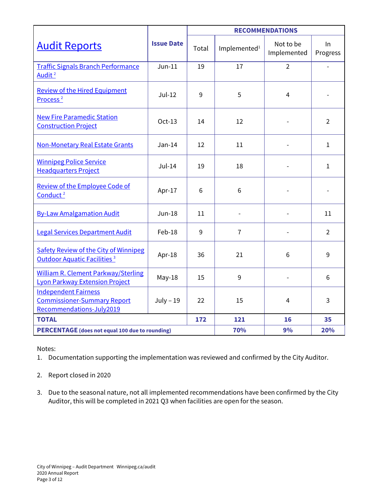|                                                                                                |                   | <b>RECOMMENDATIONS</b> |                          |                          |                |
|------------------------------------------------------------------------------------------------|-------------------|------------------------|--------------------------|--------------------------|----------------|
| <b>Audit Reports</b>                                                                           | <b>Issue Date</b> | Total                  | Implemented <sup>1</sup> | Not to be<br>Implemented | In<br>Progress |
| <b>Traffic Signals Branch Performance</b><br>Audit <sup>2</sup>                                | $Jun-11$          | 19                     | 17                       | $\overline{2}$           |                |
| <b>Review of the Hired Equipment</b><br>Process <sup>2</sup>                                   | $Jul-12$          | 9                      | 5                        | 4                        |                |
| <b>New Fire Paramedic Station</b><br><b>Construction Project</b>                               | $Oct-13$          | 14                     | 12                       |                          | $\overline{2}$ |
| <b>Non-Monetary Real Estate Grants</b>                                                         | $Jan-14$          | 12                     | 11                       |                          | $\mathbf{1}$   |
| <b>Winnipeg Police Service</b><br><b>Headquarters Project</b>                                  | $Jul-14$          | 19                     | 18                       |                          | $\mathbf{1}$   |
| <b>Review of the Employee Code of</b><br>Conduct <sup>2</sup>                                  | Apr-17            | 6                      | 6                        |                          |                |
| <b>By-Law Amalgamation Audit</b>                                                               | $Jun-18$          | 11                     |                          |                          | 11             |
| <b>Legal Services Department Audit</b>                                                         | Feb-18            | 9                      | $\overline{7}$           |                          | $\overline{2}$ |
| <b>Safety Review of the City of Winnipeg</b><br><b>Outdoor Aquatic Facilities</b> <sup>3</sup> | Apr-18            | 36                     | 21                       | 6                        | 9              |
| <b>William R. Clement Parkway/Sterling</b><br><b>Lyon Parkway Extension Project</b>            | May-18            | 15                     | 9                        |                          | 6              |
| <b>Independent Fairness</b><br><b>Commissioner-Summary Report</b><br>Recommendations-July2019  | $July - 19$       | 22                     | 15                       | 4                        | 3              |
| <b>TOTAL</b>                                                                                   |                   | 172                    | 121                      | 16                       | 35             |
| <b>PERCENTAGE</b> (does not equal 100 due to rounding)                                         |                   | 70%                    | 9%                       | 20%                      |                |

Notes:

1. Documentation supporting the implementation was reviewed and confirmed by the City Auditor.

- 2. Report closed in 2020
- 3. Due to the seasonal nature, not all implemented recommendations have been confirmed by the City Auditor, this will be completed in 2021 Q3 when facilities are open for the season.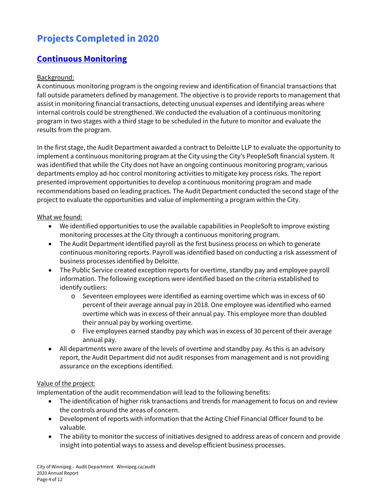# **Projects Completed in 2020**

## **[Continuous Monitoring](https://winnipeg.ca/audit/pdfs/reports/2020/ContinuousMonitoring-AdvisoryReportApril2020.pdf)**

#### Background:

A continuous monitoring program is the ongoing review and identification of financial transactions that fall outside parameters defined by management. The objective is to provide reports to management that assist in monitoring financial transactions, detecting unusual expenses and identifying areas where internal controls could be strengthened. We conducted the evaluation of a continuous monitoring program in two stages with a third stage to be scheduled in the future to monitor and evaluate the results from the program.

In the first stage, the Audit Department awarded a contract to Deloitte LLP to evaluate the opportunity to implement a continuous monitoring program at the City using the City's PeopleSoft financial system. It was identified that while the City does not have an ongoing continuous monitoring program; various departments employ ad-hoc control monitoring activities to mitigate key process risks. The report presented improvement opportunities to develop a continuous monitoring program and made recommendations based on leading practices. The Audit Department conducted the second stage of the project to evaluate the opportunities and value of implementing a program within the City.

#### What we found:

- We identified opportunities to use the available capabilities in PeopleSoft to improve existing monitoring processes at the City through a continuous monitoring program.
- The Audit Department identified payroll as the first business process on which to generate continuous monitoring reports. Payroll was identified based on conducting a risk assessment of business processes identified by Deloitte.
- The Public Service created exception reports for overtime, standby pay and employee payroll information. The following exceptions were identified based on the criteria established to identify outliers:
	- o Seventeen employees were identified as earning overtime which was in excess of 60 percent of their average annual pay in 2018. One employee was identified who earned overtime which was in excess of their annual pay. This employee more than doubled their annual pay by working overtime.
	- o Five employees earned standby pay which was in excess of 30 percent of their average annual pay.
- All departments were aware of the levels of overtime and standby pay. As this is an advisory report, the Audit Department did not audit responses from management and is not providing assurance on the exceptions identified.

#### Value of the project:

Implementation of the audit recommendation will lead to the following benefits:

- The identification of higher risk transactions and trends for management to focus on and review the controls around the areas of concern.
- Development of reports with information that the Acting Chief Financial Officer found to be valuable.
- The ability to monitor the success of initiatives designed to address areas of concern and provide insight into potential ways to assess and develop efficient business processes.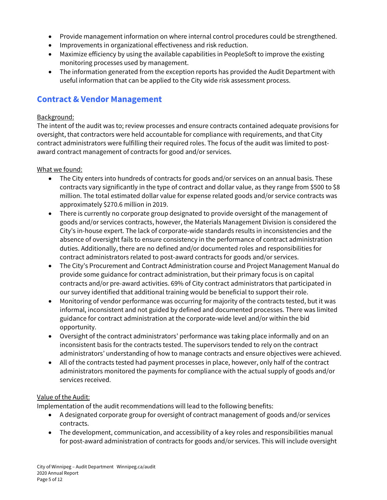- Provide management information on where internal control procedures could be strengthened.
- Improvements in organizational effectiveness and risk reduction.
- Maximize efficiency by using the available capabilities in PeopleSoft to improve the existing monitoring processes used by management.
- The information generated from the exception reports has provided the Audit Department with useful information that can be applied to the City wide risk assessment process.

## **Contract & Vendor Management**

#### Background:

The intent of the audit was to; review processes and ensure contracts contained adequate provisions for oversight, that contractors were held accountable for compliance with requirements, and that City contract administrators were fulfilling their required roles. The focus of the audit was limited to postaward contract management of contracts for good and/or services.

#### What we found:

- The City enters into hundreds of contracts for goods and/or services on an annual basis. These contracts vary significantly in the type of contract and dollar value, as they range from \$500 to \$8 million. The total estimated dollar value for expense related goods and/or service contracts was approximately \$270.6 million in 2019.
- There is currently no corporate group designated to provide oversight of the management of goods and/or services contracts, however, the Materials Management Division is considered the City's in-house expert. The lack of corporate-wide standards results in inconsistencies and the absence of oversight fails to ensure consistency in the performance of contract administration duties. Additionally, there are no defined and/or documented roles and responsibilities for contract administrators related to post-award contracts for goods and/or services.
- The City's Procurement and Contract Administration course and Project Management Manual do provide some guidance for contract administration, but their primary focus is on capital contracts and/or pre-award activities. 69% of City contract administrators that participated in our survey identified that additional training would be beneficial to support their role.
- Monitoring of vendor performance was occurring for majority of the contracts tested, but it was informal, inconsistent and not guided by defined and documented processes. There was limited guidance for contract administration at the corporate-wide level and/or within the bid opportunity.
- Oversight of the contract administrators' performance was taking place informally and on an inconsistent basis for the contracts tested. The supervisors tended to rely on the contract administrators' understanding of how to manage contracts and ensure objectives were achieved.
- All of the contracts tested had payment processes in place, however, only half of the contract administrators monitored the payments for compliance with the actual supply of goods and/or services received.

#### Value of the Audit:

Implementation of the audit recommendations will lead to the following benefits:

- A designated corporate group for oversight of contract management of goods and/or services contracts.
- The development, communication, and accessibility of a key roles and responsibilities manual for post-award administration of contracts for goods and/or services. This will include oversight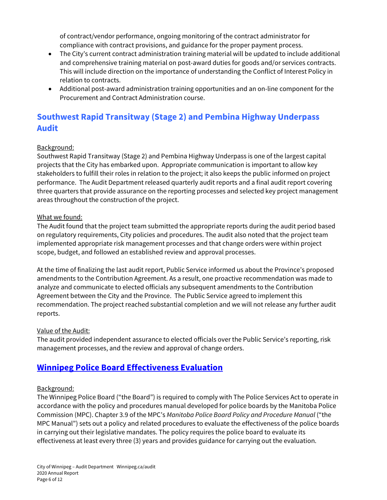of contract/vendor performance, ongoing monitoring of the contract administrator for compliance with contract provisions, and guidance for the proper payment process.

- The City's current contract administration training material will be updated to include additional and comprehensive training material on post-award duties for goods and/or services contracts. This will include direction on the importance of understanding the Conflict of Interest Policy in relation to contracts.
- Additional post-award administration training opportunities and an on-line component for the Procurement and Contract Administration course.

## **Southwest Rapid Transitway (Stage 2) and Pembina Highway Underpass Audit**

#### Background:

Southwest Rapid Transitway (Stage 2) and Pembina Highway Underpass is one of the largest capital projects that the City has embarked upon. Appropriate communication is important to allow key stakeholders to fulfill their roles in relation to the project; it also keeps the public informed on project performance. The Audit Department released quarterly audit reports and a final audit report covering three quarters that provide assurance on the reporting processes and selected key project management areas throughout the construction of the project.

#### What we found:

The Audit found that the project team submitted the appropriate reports during the audit period based on regulatory requirements, City policies and procedures. The audit also noted that the project team implemented appropriate risk management processes and that change orders were within project scope, budget, and followed an established review and approval processes.

At the time of finalizing the last audit report, Public Service informed us about the Province's proposed amendments to the Contribution Agreement. As a result, one proactive recommendation was made to analyze and communicate to elected officials any subsequent amendments to the Contribution Agreement between the City and the Province. The Public Service agreed to implement this recommendation. The project reached substantial completion and we will not release any further audit reports.

#### Value of the Audit:

The audit provided independent assurance to elected officials over the Public Service's reporting, risk management processes, and the review and approval of change orders.

## **[Winnipeg Police Board Effectiveness Evaluation](https://winnipeg.ca/audit/pdfs/reports/2020/WinnipegPoliceBoardEffectivenessEvaluation-March2020.pdf)**

#### Background:

The Winnipeg Police Board ("the Board") is required to comply with The Police Services Act to operate in accordance with the policy and procedures manual developed for police boards by the Manitoba Police Commission (MPC). Chapter 3.9 of the MPC's *Manitoba Police Board Policy and Procedure Manual* ("the MPC Manual") sets out a policy and related procedures to evaluate the effectiveness of the police boards in carrying out their legislative mandates. The policy requires the police board to evaluate its effectiveness at least every three (3) years and provides guidance for carrying out the evaluation.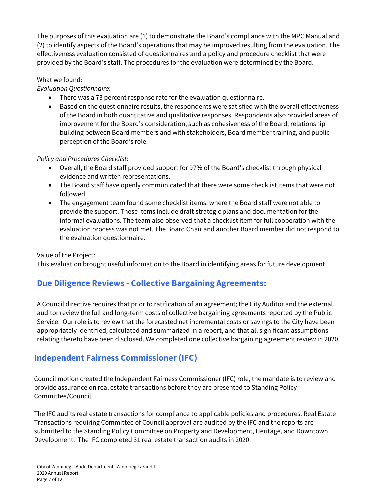The purposes of this evaluation are (1) to demonstrate the Board's compliance with the MPC Manual and (2) to identify aspects of the Board's operations that may be improved resulting from the evaluation. The effectiveness evaluation consisted of questionnaires and a policy and procedure checklist that were provided by the Board's staff. The procedures for the evaluation were determined by the Board.

#### What we found:

#### *Evaluation Questionnaire*:

- There was a 73 percent response rate for the evaluation questionnaire.
- Based on the questionnaire results, the respondents were satisfied with the overall effectiveness of the Board in both quantitative and qualitative responses. Respondents also provided areas of improvement for the Board's consideration, such as cohesiveness of the Board, relationship building between Board members and with stakeholders, Board member training, and public perception of the Board's role.

#### *Policy and Procedures Checklist*:

- Overall, the Board staff provided support for 97% of the Board's checklist through physical evidence and written representations.
- The Board staff have openly communicated that there were some checklist items that were not followed.
- The engagement team found some checklist items, where the Board staff were not able to provide the support. These items include draft strategic plans and documentation for the informal evaluations. The team also observed that a checklist item for full cooperation with the evaluation process was not met. The Board Chair and another Board member did not respond to the evaluation questionnaire.

#### Value of the Project:

This evaluation brought useful information to the Board in identifying areas for future development.

## **Due Diligence Reviews - Collective Bargaining Agreements:**

A Council directive requires that prior to ratification of an agreement; the City Auditor and the external auditor review the full and long-term costs of collective bargaining agreements reported by the Public Service. Our role is to review that the forecasted net incremental costs or savings to the City have been appropriately identified, calculated and summarized in a report, and that all significant assumptions relating thereto have been disclosed. We completed one collective bargaining agreement review in 2020.

## **Independent Fairness Commissioner (IFC)**

Council motion created the Independent Fairness Commissioner (IFC) role, the mandate is to review and provide assurance on real estate transactions before they are presented to Standing Policy Committee/Council.

The IFC audits real estate transactions for compliance to applicable policies and procedures. Real Estate Transactions requiring Committee of Council approval are audited by the IFC and the reports are submitted to the Standing Policy Committee on Property and Development, Heritage, and Downtown Development. The IFC completed 31 real estate transaction audits in 2020.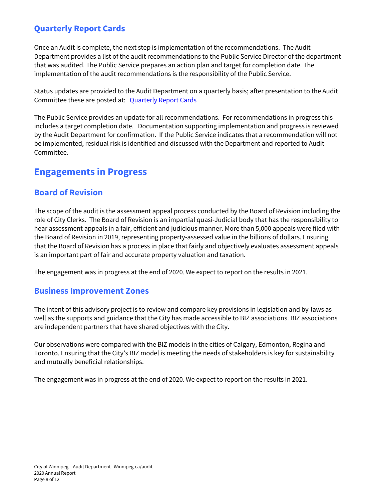## **Quarterly Report Cards**

Once an Audit is complete, the next step is implementation of the recommendations. The Audit Department provides a list of the audit recommendations to the Public Service Director of the department that was audited. The Public Service prepares an action plan and target for completion date. The implementation of the audit recommendations is the responsibility of the Public Service.

Status updates are provided to the Audit Department on a quarterly basis; after presentation to the Audit Committee these are posted at: [Quarterly Report Cards](https://winnipeg.ca/audit/reports.stm#tab-QuarterlyReports)

The Public Service provides an update for all recommendations. For recommendations in progress this includes a target completion date. Documentation supporting implementation and progress is reviewed by the Audit Department for confirmation. If the Public Service indicates that a recommendation will not be implemented, residual risk is identified and discussed with the Department and reported to Audit Committee.

# **Engagements in Progress**

## **Board of Revision**

The scope of the audit is the assessment appeal process conducted by the Board of Revision including the role of City Clerks. The Board of Revision is an impartial quasi-Judicial body that has the responsibility to hear assessment appeals in a fair, efficient and judicious manner. More than 5,000 appeals were filed with the Board of Revision in 2019, representing property-assessed value in the billions of dollars. Ensuring that the Board of Revision has a process in place that fairly and objectively evaluates assessment appeals is an important part of fair and accurate property valuation and taxation.

The engagement was in progress at the end of 2020. We expect to report on the results in 2021.

## **Business Improvement Zones**

The intent of this advisory project is to review and compare key provisions in legislation and by-laws as well as the supports and guidance that the City has made accessible to BIZ associations. BIZ associations are independent partners that have shared objectives with the City.

Our observations were compared with the BIZ models in the cities of Calgary, Edmonton, Regina and Toronto. Ensuring that the City's BIZ model is meeting the needs of stakeholders is key for sustainability and mutually beneficial relationships.

The engagement was in progress at the end of 2020. We expect to report on the results in 2021.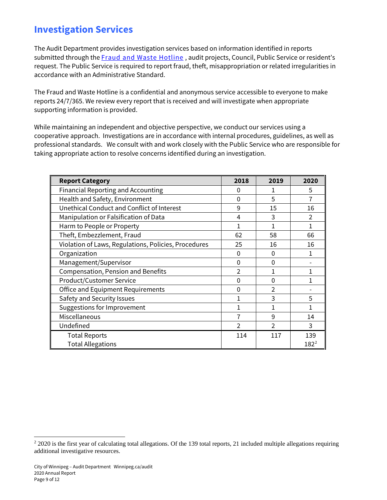# **Investigation Services**

The Audit Department provides investigation services based on information identified in reports submitted through the **Fraud and Waste Hotline**, audit projects, Council, Public Service or resident's request. The Public Service is required to report fraud, theft, misappropriation or related irregularities in accordance with an Administrative Standard.

The Fraud and Waste Hotline is a confidential and anonymous service accessible to everyone to make reports 24/7/365. We review every report that is received and will investigate when appropriate supporting information is provided.

While maintaining an independent and objective perspective, we conduct our services using a cooperative approach. Investigations are in accordance with internal procedures, guidelines, as well as professional standards. We consult with and work closely with the Public Service who are responsible for taking appropriate action to resolve concerns identified during an investigation.

| <b>Report Category</b>                               | 2018     | 2019           | 2020    |
|------------------------------------------------------|----------|----------------|---------|
| <b>Financial Reporting and Accounting</b>            | 0        | 1              | 5       |
| Health and Safety, Environment                       | $\Omega$ | 5              |         |
| Unethical Conduct and Conflict of Interest           | 9        | 15             | 16      |
| Manipulation or Falsification of Data                | 4        | 3              | 2       |
| Harm to People or Property                           | 1        |                |         |
| Theft, Embezzlement, Fraud                           | 62       | 58             | 66      |
| Violation of Laws, Regulations, Policies, Procedures | 25       | 16             | 16      |
| Organization                                         | 0        | 0              |         |
| Management/Supervisor                                | 0        | 0              |         |
| <b>Compensation, Pension and Benefits</b>            | 2        |                |         |
| Product/Customer Service                             | 0        | $\Omega$       |         |
| Office and Equipment Requirements                    | 0        | $\mathfrak{p}$ |         |
| Safety and Security Issues                           |          | 3              | 5       |
| Suggestions for Improvement                          |          |                |         |
| Miscellaneous                                        | 7        | 9              | 14      |
| Undefined                                            | 2        | 2              | 3       |
| <b>Total Reports</b>                                 | 114      | 117            | 139     |
| <b>Total Allegations</b>                             |          |                | $182^2$ |

<span id="page-8-0"></span> $\overline{a}$  $22020$  is the first year of calculating total allegations. Of the 139 total reports, 21 included multiple allegations requiring additional investigative resources.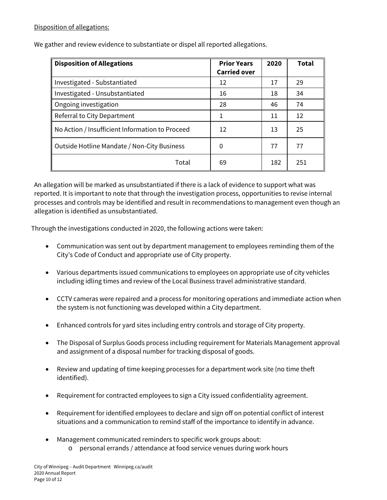#### Disposition of allegations:

We gather and review evidence to substantiate or dispel all reported allegations.

| <b>Disposition of Allegations</b>               | <b>Prior Years</b><br><b>Carried over</b> | 2020 | <b>Total</b> |
|-------------------------------------------------|-------------------------------------------|------|--------------|
| Investigated - Substantiated                    | 12                                        | 17   | 29           |
| Investigated - Unsubstantiated                  | 16                                        | 18   | 34           |
| Ongoing investigation                           | 28                                        | 46   | 74           |
| Referral to City Department                     | 1                                         | 11   | 12           |
| No Action / Insufficient Information to Proceed | 12                                        | 13   | 25           |
| Outside Hotline Mandate / Non-City Business     | 0                                         | 77   | 77           |
| Total                                           | 69                                        | 182  | 251          |

An allegation will be marked as unsubstantiated if there is a lack of evidence to support what was reported. It is important to note that through the investigation process, opportunities to revise internal processes and controls may be identified and result in recommendations to management even though an allegation is identified as unsubstantiated.

Through the investigations conducted in 2020, the following actions were taken:

- Communication was sent out by department management to employees reminding them of the City's Code of Conduct and appropriate use of City property.
- Various departments issued communications to employees on appropriate use of city vehicles including idling times and review of the Local Business travel administrative standard.
- CCTV cameras were repaired and a process for monitoring operations and immediate action when the system is not functioning was developed within a City department.
- Enhanced controls for yard sites including entry controls and storage of City property.
- The Disposal of Surplus Goods process including requirement for Materials Management approval and assignment of a disposal number for tracking disposal of goods.
- Review and updating of time keeping processes for a department work site (no time theft identified).
- Requirement for contracted employees to sign a City issued confidentiality agreement.
- Requirement for identified employees to declare and sign off on potential conflict of interest situations and a communication to remind staff of the importance to identify in advance.
- Management communicated reminders to specific work groups about: o personal errands / attendance at food service venues during work hours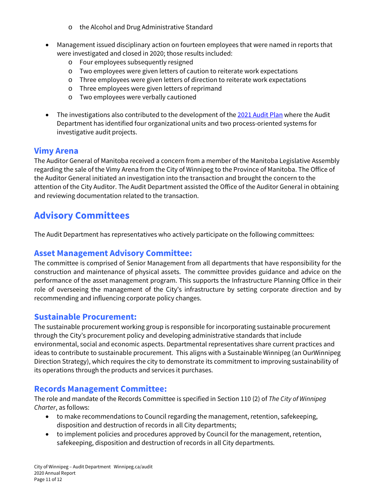- o the Alcohol and Drug Administrative Standard
- Management issued disciplinary action on fourteen employees that were named in reports that were investigated and closed in 2020; those results included:
	- o Four employees subsequently resigned
	- o Two employees were given letters of caution to reiterate work expectations
	- o Three employees were given letters of direction to reiterate work expectations
	- o Three employees were given letters of reprimand
	- o Two employees were verbally cautioned
- The investigations also contributed to the development of the [2021 Audit Plan](https://winnipeg.ca/audit/pdfs/reports/2020/AuditPlan2021.pdf) where the Audit Department has identified four organizational units and two process-oriented systems for investigative audit projects.

### **Vimy Arena**

The Auditor General of Manitoba received a concern from a member of the Manitoba Legislative Assembly regarding the sale of the Vimy Arena from the City of Winnipeg to the Province of Manitoba. The Office of the Auditor General initiated an investigation into the transaction and brought the concern to the attention of the City Auditor. The Audit Department assisted the Office of the Auditor General in obtaining and reviewing documentation related to the transaction.

# **Advisory Committees**

The Audit Department has representatives who actively participate on the following committees:

## **Asset Management Advisory Committee:**

The committee is comprised of Senior Management from all departments that have responsibility for the construction and maintenance of physical assets. The committee provides guidance and advice on the performance of the asset management program. This supports the Infrastructure Planning Office in their role of overseeing the management of the City's infrastructure by setting corporate direction and by recommending and influencing corporate policy changes.

#### **Sustainable Procurement:**

The sustainable procurement working group is responsible for incorporating sustainable procurement through the City's procurement policy and developing administrative standards that include environmental, social and economic aspects. Departmental representatives share current practices and ideas to contribute to sustainable procurement. This aligns with a Sustainable Winnipeg (an OurWinnipeg Direction Strategy), which requires the city to demonstrate its commitment to improving sustainability of its operations through the products and services it purchases.

#### **Records Management Committee:**

The role and mandate of the Records Committee is specified in Section 110 (2) of *The City of Winnipeg Charter*, as follows:

- to make recommendations to Council regarding the management, retention, safekeeping, disposition and destruction of records in all City departments;
- to implement policies and procedures approved by Council for the management, retention, safekeeping, disposition and destruction of records in all City departments.